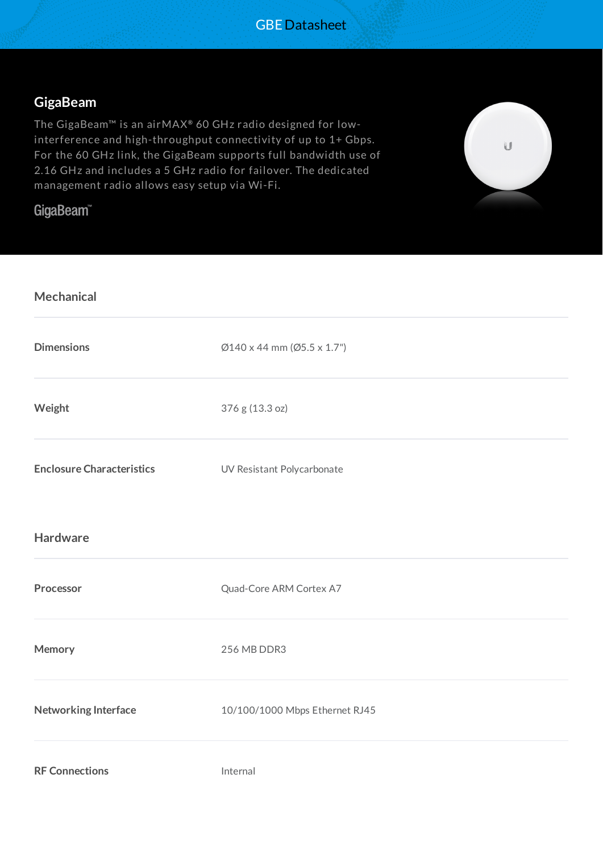## **GigaBeam**

The GigaBeam™ is an airMAX **®** 60 GHz radio designed for lowinterference and high-throughput connectivity of up to 1+ Gbps. For the 60 GHz link, the GigaBeam supports full bandwidth use of 2.16 GHz and includes a 5 GHz radio for failover. The dedicated management radio allows easy setup via Wi-Fi.

## GigaBeam<sup>™</sup>

**Mechanical**



| .                                |                                |
|----------------------------------|--------------------------------|
| <b>Dimensions</b>                | Ø140 x 44 mm (Ø5.5 x 1.7")     |
| Weight                           | 376 g (13.3 oz)                |
| <b>Enclosure Characteristics</b> | UV Resistant Polycarbonate     |
| <b>Hardware</b>                  |                                |
| Processor                        | Quad-Core ARM Cortex A7        |
| Memory                           | 256 MB DDR3                    |
| Networking Interface             | 10/100/1000 Mbps Ethernet RJ45 |
| <b>RF Connections</b>            | Internal                       |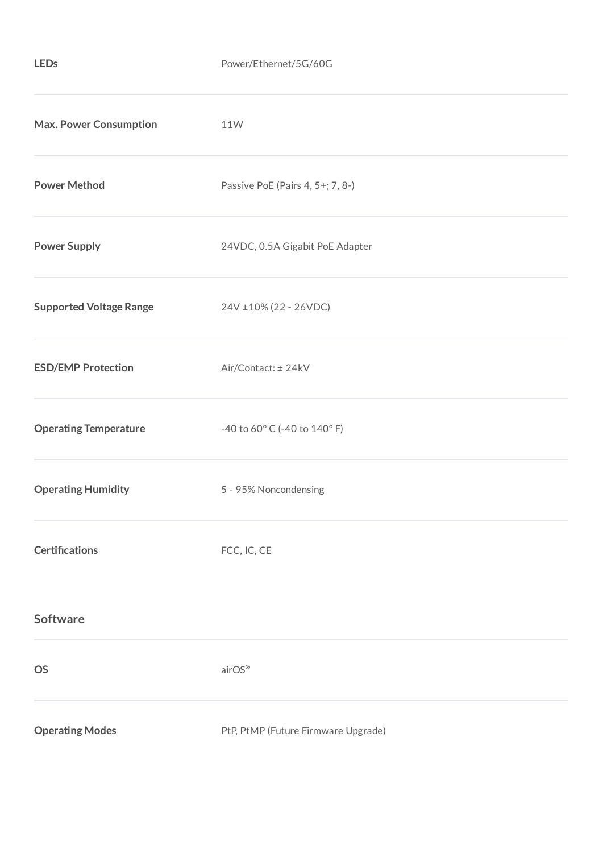| <b>Max. Power Consumption</b>  | 11W                                 |
|--------------------------------|-------------------------------------|
| <b>Power Method</b>            | Passive PoE (Pairs 4, 5+; 7, 8-)    |
| <b>Power Supply</b>            | 24VDC, 0.5A Gigabit PoE Adapter     |
| <b>Supported Voltage Range</b> | 24V ±10% (22 - 26VDC)               |
| <b>ESD/EMP Protection</b>      | Air/Contact: ± 24kV                 |
| <b>Operating Temperature</b>   | -40 to 60° C (-40 to 140° F)        |
| <b>Operating Humidity</b>      | 5 - 95% Noncondensing               |
| <b>Certifications</b>          | FCC, IC, CE                         |
| <b>Software</b>                |                                     |
| <b>OS</b>                      | airOS®                              |
| <b>Operating Modes</b>         | PtP, PtMP (Future Firmware Upgrade) |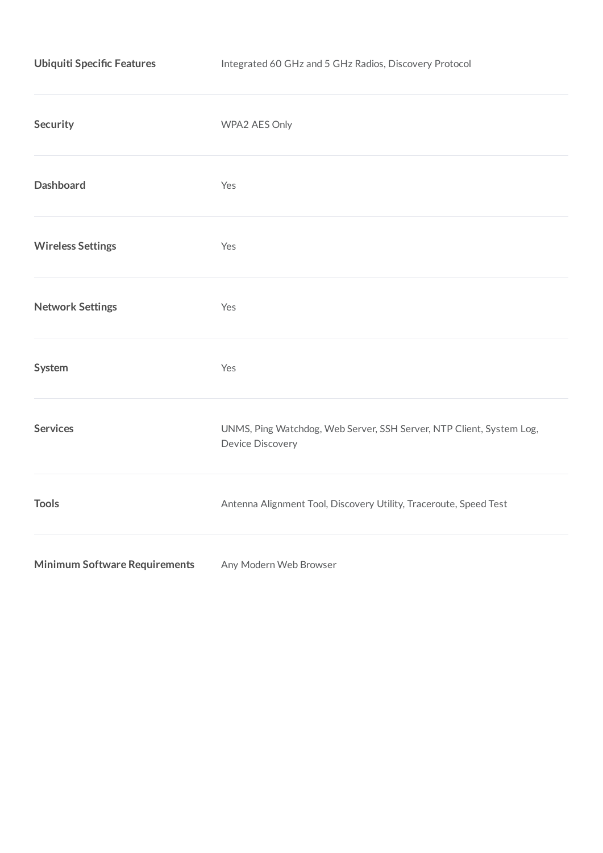| <b>Ubiquiti Specific Features</b>    | Integrated 60 GHz and 5 GHz Radios, Discovery Protocol                                   |  |  |
|--------------------------------------|------------------------------------------------------------------------------------------|--|--|
| Security                             | WPA2 AES Only                                                                            |  |  |
| <b>Dashboard</b>                     | Yes                                                                                      |  |  |
| <b>Wireless Settings</b>             | Yes                                                                                      |  |  |
| <b>Network Settings</b>              | Yes                                                                                      |  |  |
| System                               | Yes                                                                                      |  |  |
| <b>Services</b>                      | UNMS, Ping Watchdog, Web Server, SSH Server, NTP Client, System Log,<br>Device Discovery |  |  |
| <b>Tools</b>                         | Antenna Alignment Tool, Discovery Utility, Traceroute, Speed Test                        |  |  |
| <b>Minimum Software Requirements</b> | Any Modern Web Browser                                                                   |  |  |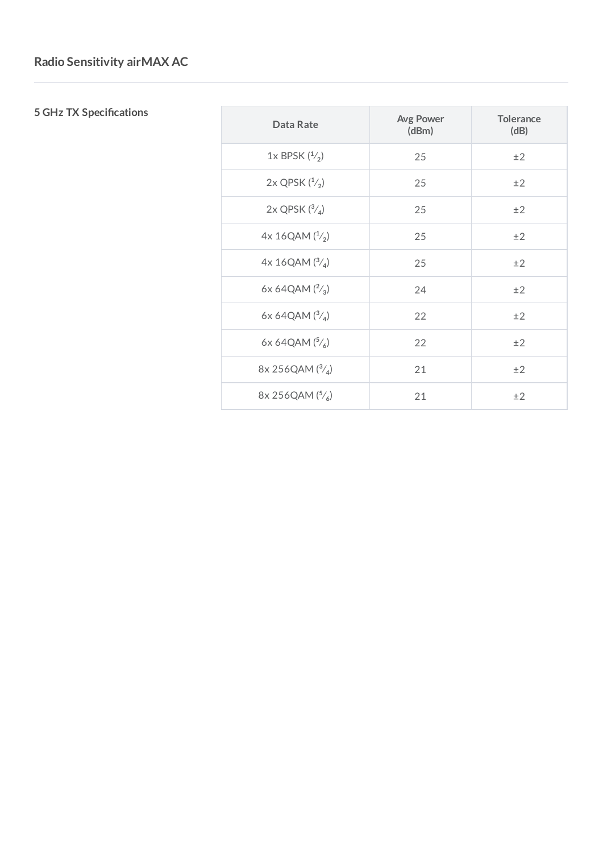## **5 GHz TX Specifications**

| Data Rate               | <b>Avg Power</b><br>(dBm) | <b>Tolerance</b><br>(dB) |
|-------------------------|---------------------------|--------------------------|
| 1x BPSK $(^{1}_{2})$    | 25                        | ±2                       |
| $2x$ QPSK $(^{1/2})$    | 25                        | ±2                       |
| $2x$ QPSK $(^{3}/_{4})$ | 25                        | ±2                       |
| 4x 16QAM (1/2)          | 25                        | ±2                       |
| 4x 16QAM $(^{3}/_{4})$  | 25                        | ±2                       |
| 6x 64QAM $(^{2}/_{3})$  | 24                        | ±2                       |
| 6x 64QAM $(^{3}/_{4})$  | 22                        | ±2                       |
| 6x 64QAM $(^{5}/_{6})$  | 22                        | ±2                       |
| 8x 256QAM $(^{3}/_{4})$ | 21                        | ±2                       |
| 8x 256QAM $(^{5}/_{6})$ | 21                        | ±2                       |